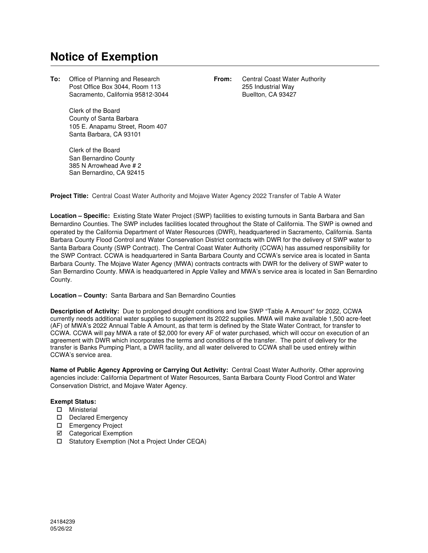## **Notice of Exemption**

**To:** Office of Planning and Research **From:** Central Coast Water Authority Post Office Box 3044, Room 113 255 Industrial Way Sacramento, California 95812-3044 Buellton, CA 93427

Clerk of the Board County of Santa Barbara 105 E. Anapamu Street, Room 407 Santa Barbara, CA 93101

Clerk of the Board San Bernardino County 385 N Arrowhead Ave # 2 San Bernardino, CA 92415

**Project Title:** Central Coast Water Authority and Mojave Water Agency 2022 Transfer of Table A Water

**Location – Specific:** Existing State Water Project (SWP) facilities to existing turnouts in Santa Barbara and San Bernardino Counties. The SWP includes facilities located throughout the State of California. The SWP is owned and operated by the California Department of Water Resources (DWR), headquartered in Sacramento, California. Santa Barbara County Flood Control and Water Conservation District contracts with DWR for the delivery of SWP water to Santa Barbara County (SWP Contract). The Central Coast Water Authority (CCWA) has assumed responsibility for the SWP Contract. CCWA is headquartered in Santa Barbara County and CCWA's service area is located in Santa Barbara County. The Mojave Water Agency (MWA) contracts contracts with DWR for the delivery of SWP water to San Bernardino County. MWA is headquartered in Apple Valley and MWA's service area is located in San Bernardino County.

## **Location – County:** Santa Barbara and San Bernardino Counties

**Description of Activity:** Due to prolonged drought conditions and low SWP "Table A Amount" for 2022, CCWA currently needs additional water supplies to supplement its 2022 supplies. MWA will make available 1,500 acre-feet (AF) of MWA's 2022 Annual Table A Amount, as that term is defined by the State Water Contract, for transfer to CCWA. CCWA will pay MWA a rate of \$2,000 for every AF of water purchased, which will occur on execution of an agreement with DWR which incorporates the terms and conditions of the transfer. The point of delivery for the transfer is Banks Pumping Plant, a DWR facility, and all water delivered to CCWA shall be used entirely within CCWA's service area.

**Name of Public Agency Approving or Carrying Out Activity:** Central Coast Water Authority. Other approving agencies include: California Department of Water Resources, Santa Barbara County Flood Control and Water Conservation District, and Mojave Water Agency.

## **Exempt Status:**

- Ministerial
- D Declared Emergency
- Emergency Project
- **☑** Categorical Exemption
- □ Statutory Exemption (Not a Project Under CEQA)